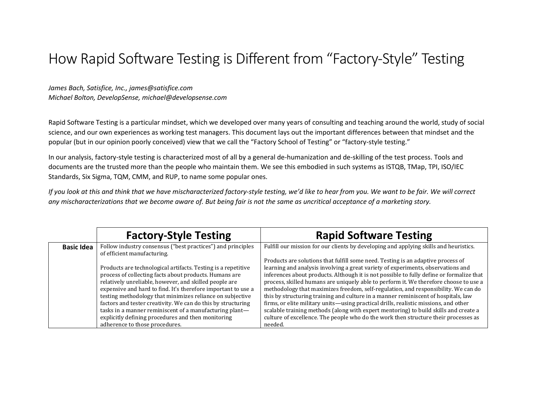## How Rapid Software Testing is Different from "Factory-Style" Testing

*James Bach, Satisfice, Inc., james@satisfice.com Michael Bolton, DevelopSense, michael@developsense.com*

Rapid Software Testing is a particular mindset, which we developed over many years of consulting and teaching around the world, study of social science, and our own experiences as working test managers. This document lays out the important differences between that mindset and the popular (but in our opinion poorly conceived) view that we call the "Factory School of Testing" or "factory-style testing."

In our analysis, factory-style testing is characterized most of all by a general de-humanization and de-skilling of the test process. Tools and documents are the trusted more than the people who maintain them. We see this embodied in such systems as ISTQB, TMap, TPI, ISO/IEC Standards, Six Sigma, TQM, CMM, and RUP, to name some popular ones.

*If you look at this and think that we have mischaracterized factory-style testing, we'd like to hear from you. We want to be fair. We will correct any mischaracterizations that we become aware of. But being fair is not the same as uncritical acceptance of a marketing story.*

|                   | <b>Factory-Style Testing</b>                                                               | <b>Rapid Software Testing</b>                                                            |
|-------------------|--------------------------------------------------------------------------------------------|------------------------------------------------------------------------------------------|
| <b>Basic Idea</b> | Follow industry consensus ("best practices") and principles<br>of efficient manufacturing. | Fulfill our mission for our clients by developing and applying skills and heuristics.    |
|                   |                                                                                            | Products are solutions that fulfill some need. Testing is an adaptive process of         |
|                   | Products are technological artifacts. Testing is a repetitive                              | learning and analysis involving a great variety of experiments, observations and         |
|                   | process of collecting facts about products. Humans are                                     | inferences about products. Although it is not possible to fully define or formalize that |
|                   | relatively unreliable, however, and skilled people are                                     | process, skilled humans are uniquely able to perform it. We therefore choose to use a    |
|                   | expensive and hard to find. It's therefore important to use a                              | methodology that maximizes freedom, self-regulation, and responsibility. We can do       |
|                   | testing methodology that minimizes reliance on subjective                                  | this by structuring training and culture in a manner reminiscent of hospitals, law       |
|                   | factors and tester creativity. We can do this by structuring                               | firms, or elite military units—using practical drills, realistic missions, and other     |
|                   | tasks in a manner reminiscent of a manufacturing plant-                                    | scalable training methods (along with expert mentoring) to build skills and create a     |
|                   | explicitly defining procedures and then monitoring                                         | culture of excellence. The people who do the work then structure their processes as      |
|                   | adherence to those procedures.                                                             | needed.                                                                                  |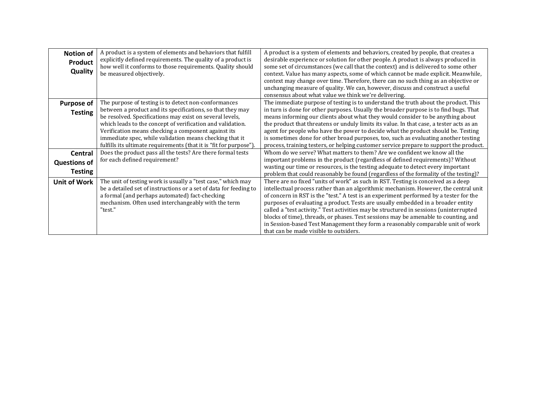| <b>Notion of</b>    | A product is a system of elements and behaviors that fulfill      | A product is a system of elements and behaviors, created by people, that creates a       |
|---------------------|-------------------------------------------------------------------|------------------------------------------------------------------------------------------|
| Product             | explicitly defined requirements. The quality of a product is      | desirable experience or solution for other people. A product is always produced in       |
|                     | how well it conforms to those requirements. Quality should        | some set of circumstances (we call that the context) and is delivered to some other      |
| Quality             | be measured objectively.                                          | context. Value has many aspects, some of which cannot be made explicit. Meanwhile,       |
|                     |                                                                   | context may change over time. Therefore, there can no such thing as an objective or      |
|                     |                                                                   | unchanging measure of quality. We can, however, discuss and construct a useful           |
|                     |                                                                   | consensus about what value we think we're delivering.                                    |
| <b>Purpose of</b>   | The purpose of testing is to detect non-conformances              | The immediate purpose of testing is to understand the truth about the product. This      |
| <b>Testing</b>      | between a product and its specifications, so that they may        | in turn is done for other purposes. Usually the broader purpose is to find bugs. That    |
|                     | be resolved. Specifications may exist on several levels,          | means informing our clients about what they would consider to be anything about          |
|                     | which leads to the concept of verification and validation.        | the product that threatens or unduly limits its value. In that case, a tester acts as an |
|                     | Verification means checking a component against its               | agent for people who have the power to decide what the product should be. Testing        |
|                     | immediate spec, while validation means checking that it           | is sometimes done for other broad purposes, too, such as evaluating another testing      |
|                     | fulfills its ultimate requirements (that it is "fit for purpose") | process, training testers, or helping customer service prepare to support the product.   |
| Central             | Does the product pass all the tests? Are there formal tests       | Whom do we serve? What matters to them? Are we confident we know all the                 |
| <b>Questions of</b> | for each defined requirement?                                     | important problems in the product (regardless of defined requirements)? Without          |
| <b>Testing</b>      |                                                                   | wasting our time or resources, is the testing adequate to detect every important         |
|                     |                                                                   | problem that could reasonably be found (regardless of the formality of the testing)?     |
| <b>Unit of Work</b> | The unit of testing work is usually a "test case," which may      | There are no fixed "units of work" as such in RST. Testing is conceived as a deep        |
|                     | be a detailed set of instructions or a set of data for feeding to | intellectual process rather than an algorithmic mechanism. However, the central unit     |
|                     | a formal (and perhaps automated) fact-checking                    | of concern in RST is the "test." A test is an experiment performed by a tester for the   |
|                     | mechanism. Often used interchangeably with the term               | purposes of evaluating a product. Tests are usually embedded in a broader entity         |
|                     | "test."                                                           | called a "test activity." Test activities may be structured in sessions (uninterrupted   |
|                     |                                                                   | blocks of time), threads, or phases. Test sessions may be amenable to counting, and      |
|                     |                                                                   | in Session-based Test Management they form a reasonably comparable unit of work          |
|                     |                                                                   | that can be made visible to outsiders.                                                   |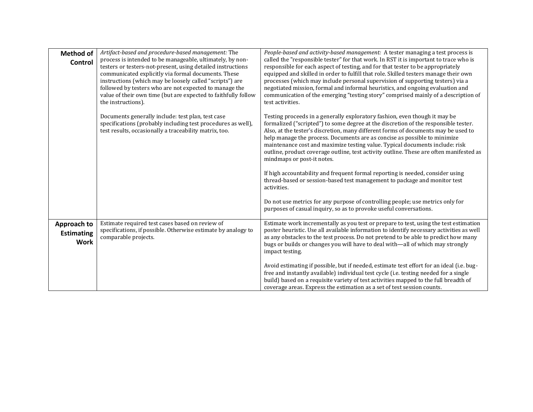| <b>Method of</b><br>Control                     | Artifact-based and procedure-based management: The<br>process is intended to be manageable, ultimately, by non-<br>testers or testers-not-present, using detailed instructions<br>communicated explicitly via formal documents. These<br>instructions (which may be loosely called "scripts") are<br>followed by testers who are not expected to manage the<br>value of their own time (but are expected to faithfully follow<br>the instructions).<br>Documents generally include: test plan, test case | People-based and activity-based management: A tester managing a test process is<br>called the "responsible tester" for that work. In RST it is important to trace who is<br>responsible for each aspect of testing, and for that tester to be appropriately<br>equipped and skilled in order to fulfill that role. Skilled testers manage their own<br>processes (which may include personal supervision of supporting testers) via a<br>negotiated mission, formal and informal heuristics, and ongoing evaluation and<br>communication of the emerging "testing story" comprised mainly of a description of<br>test activities.<br>Testing proceeds in a generally exploratory fashion, even though it may be |
|-------------------------------------------------|----------------------------------------------------------------------------------------------------------------------------------------------------------------------------------------------------------------------------------------------------------------------------------------------------------------------------------------------------------------------------------------------------------------------------------------------------------------------------------------------------------|-----------------------------------------------------------------------------------------------------------------------------------------------------------------------------------------------------------------------------------------------------------------------------------------------------------------------------------------------------------------------------------------------------------------------------------------------------------------------------------------------------------------------------------------------------------------------------------------------------------------------------------------------------------------------------------------------------------------|
|                                                 | specifications (probably including test procedures as well),<br>test results, occasionally a traceability matrix, too.                                                                                                                                                                                                                                                                                                                                                                                   | formalized ("scripted") to some degree at the discretion of the responsible tester.<br>Also, at the tester's discretion, many different forms of documents may be used to<br>help manage the process. Documents are as concise as possible to minimize<br>maintenance cost and maximize testing value. Typical documents include: risk<br>outline, product coverage outline, test activity outline. These are often manifested as<br>mindmaps or post-it notes.                                                                                                                                                                                                                                                 |
|                                                 |                                                                                                                                                                                                                                                                                                                                                                                                                                                                                                          | If high accountability and frequent formal reporting is needed, consider using<br>thread-based or session-based test management to package and monitor test<br>activities.                                                                                                                                                                                                                                                                                                                                                                                                                                                                                                                                      |
|                                                 |                                                                                                                                                                                                                                                                                                                                                                                                                                                                                                          | Do not use metrics for any purpose of controlling people; use metrics only for<br>purposes of casual inquiry, so as to provoke useful conversations.                                                                                                                                                                                                                                                                                                                                                                                                                                                                                                                                                            |
| Approach to<br><b>Estimating</b><br><b>Work</b> | Estimate required test cases based on review of<br>specifications, if possible. Otherwise estimate by analogy to<br>comparable projects.                                                                                                                                                                                                                                                                                                                                                                 | Estimate work incrementally as you test or prepare to test, using the test estimation<br>poster heuristic. Use all available information to identify necessary activities as well<br>as any obstacles to the test process. Do not pretend to be able to predict how many<br>bugs or builds or changes you will have to deal with-all of which may strongly<br>impact testing.                                                                                                                                                                                                                                                                                                                                   |
|                                                 |                                                                                                                                                                                                                                                                                                                                                                                                                                                                                                          | Avoid estimating if possible, but if needed, estimate test effort for an ideal (i.e. bug-<br>free and instantly available) individual test cycle (i.e. testing needed for a single<br>build) based on a requisite variety of test activities mapped to the full breadth of<br>coverage areas. Express the estimation as a set of test session counts.                                                                                                                                                                                                                                                                                                                                                           |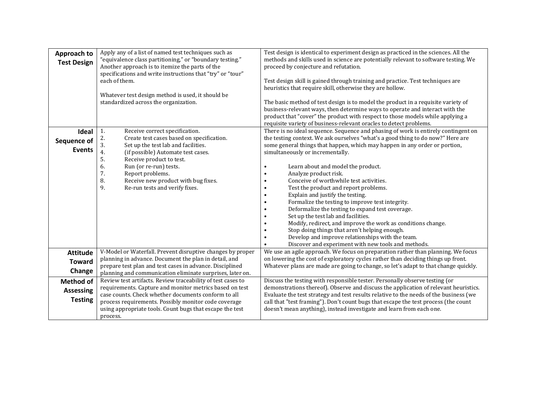| Approach to<br><b>Test Design</b>                      | Apply any of a list of named test techniques such as<br>"equivalence class partitioning," or "boundary testing."<br>Another approach is to itemize the parts of the<br>specifications and write instructions that "try" or "tour"<br>each of them.<br>Whatever test design method is used, it should be<br>standardized across the organization.                  | Test design is identical to experiment design as practiced in the sciences. All the<br>methods and skills used in science are potentially relevant to software testing. We<br>proceed by conjecture and refutation.<br>Test design skill is gained through training and practice. Test techniques are<br>heuristics that require skill, otherwise they are hollow.<br>The basic method of test design is to model the product in a requisite variety of<br>business-relevant ways, then determine ways to operate and interact with the<br>product that "cover" the product with respect to those models while applying a<br>requisite variety of business-relevant oracles to detect problems.                                                                                                                                                           |
|--------------------------------------------------------|-------------------------------------------------------------------------------------------------------------------------------------------------------------------------------------------------------------------------------------------------------------------------------------------------------------------------------------------------------------------|-----------------------------------------------------------------------------------------------------------------------------------------------------------------------------------------------------------------------------------------------------------------------------------------------------------------------------------------------------------------------------------------------------------------------------------------------------------------------------------------------------------------------------------------------------------------------------------------------------------------------------------------------------------------------------------------------------------------------------------------------------------------------------------------------------------------------------------------------------------|
| Ideal<br>Sequence of<br><b>Events</b>                  | 1.<br>Receive correct specification.<br>2.<br>Create test cases based on specification.<br>3.<br>Set up the test lab and facilities.<br>4.<br>(if possible) Automate test cases.<br>5.<br>Receive product to test.<br>6.<br>Run (or re-run) tests.<br>7.<br>Report problems.<br>8.<br>Receive new product with bug fixes.<br>9.<br>Re-run tests and verify fixes. | There is no ideal sequence. Sequence and phasing of work is entirely contingent on<br>the testing context. We ask ourselves "what's a good thing to do now?" Here are<br>some general things that happen, which may happen in any order or portion,<br>simultaneously or incrementally.<br>Learn about and model the product.<br>Analyze product risk.<br>Conceive of worthwhile test activities.<br>Test the product and report problems.<br>Explain and justify the testing.<br>Formalize the testing to improve test integrity.<br>Deformalize the testing to expand test coverage.<br>Set up the test lab and facilities.<br>Modify, redirect, and improve the work as conditions change.<br>Stop doing things that aren't helping enough.<br>Develop and improve relationships with the team.<br>Discover and experiment with new tools and methods. |
| <b>Attitude</b><br><b>Toward</b><br>Change             | V-Model or Waterfall. Prevent disruptive changes by proper<br>planning in advance. Document the plan in detail, and<br>prepare test plan and test cases in advance. Disciplined<br>planning and communication eliminate surprises, later on.                                                                                                                      | We use an agile approach. We focus on preparation rather than planning. We focus<br>on lowering the cost of exploratory cycles rather than deciding things up front.<br>Whatever plans are made are going to change, so let's adapt to that change quickly.                                                                                                                                                                                                                                                                                                                                                                                                                                                                                                                                                                                               |
| <b>Method of</b><br><b>Assessing</b><br><b>Testing</b> | Review test artifacts. Review traceability of test cases to<br>requirements. Capture and monitor metrics based on test<br>case counts. Check whether documents conform to all<br>process requirements. Possibly monitor code coverage<br>using appropriate tools. Count bugs that escape the test<br>process.                                                     | Discuss the testing with responsible tester. Personally observe testing (or<br>demonstrations thereof). Observe and discuss the application of relevant heuristics.<br>Evaluate the test strategy and test results relative to the needs of the business (we<br>call that "test framing"). Don't count bugs that escape the test process (the count<br>doesn't mean anything), instead investigate and learn from each one.                                                                                                                                                                                                                                                                                                                                                                                                                               |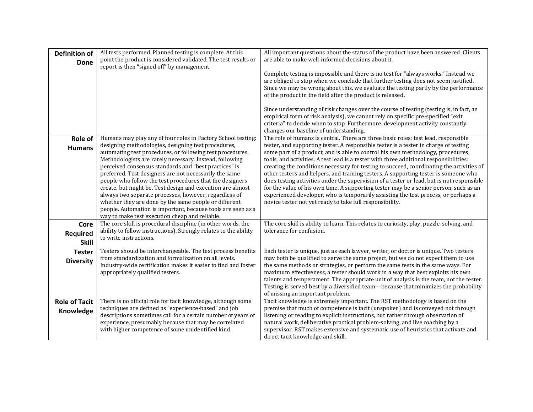| <b>Definition of</b><br><b>Done</b> | All tests performed. Planned testing is complete. At this<br>point the product is considered validated. The test results or<br>report is then "signed off" by management.                                                                                                                                                                                                                                                                                                                                                                                                                                                                                                                                                    | All important questions about the status of the product have been answered. Clients<br>are able to make well-informed decisions about it.<br>Complete testing is impossible and there is no test for "always works." Instead we<br>are obliged to stop when we conclude that further testing does not seem justified.<br>Since we may be wrong about this, we evaluate the testing partly by the performance<br>of the product in the field after the product is released.<br>Since understanding of risk changes over the course of testing (testing is, in fact, an<br>empirical form of risk analysis), we cannot rely on specific pre-specified "exit<br>criteria" to decide when to stop. Furthermore, development activity constantly<br>changes our baseline of understanding.                                                                                              |
|-------------------------------------|------------------------------------------------------------------------------------------------------------------------------------------------------------------------------------------------------------------------------------------------------------------------------------------------------------------------------------------------------------------------------------------------------------------------------------------------------------------------------------------------------------------------------------------------------------------------------------------------------------------------------------------------------------------------------------------------------------------------------|------------------------------------------------------------------------------------------------------------------------------------------------------------------------------------------------------------------------------------------------------------------------------------------------------------------------------------------------------------------------------------------------------------------------------------------------------------------------------------------------------------------------------------------------------------------------------------------------------------------------------------------------------------------------------------------------------------------------------------------------------------------------------------------------------------------------------------------------------------------------------------|
| Role of<br><b>Humans</b>            | Humans may play any of four roles in Factory School testing:<br>designing methodologies, designing test procedures,<br>automating test procedures, or following test procedures.<br>Methodologists are rarely necessary. Instead, following<br>perceived consensus standards and "best practices" is<br>preferred. Test designers are not necessarily the same<br>people who follow the test procedures that the designers<br>create, but might be. Test design and execution are almost<br>always two separate processes, however, regardless of<br>whether they are done by the same people or different<br>people. Automation is important, because tools are seen as a<br>way to make test execution cheap and reliable. | The role of humans is central. There are three basic roles: test lead, responsible<br>tester, and supporting tester. A responsible tester is a tester in charge of testing<br>some part of a product, and is able to control his own methodology, procedures,<br>tools, and activities. A test lead is a tester with three additional responsibilities:<br>creating the conditions necessary for testing to succeed, coordinating the activities of<br>other testers and helpers, and training testers. A supporting tester is someone who<br>does testing activities under the supervision of a tester or lead, but is not responsible<br>for the value of his own time. A supporting tester may be a senior person, such as an<br>experienced developer, who is temporarily assisting the test process, or perhaps a<br>novice tester not yet ready to take full responsibility. |
| Core<br>Required<br><b>Skill</b>    | The core skill is procedural discipline (in other words, the<br>ability to follow instructions). Strongly relates to the ability<br>to write instructions.                                                                                                                                                                                                                                                                                                                                                                                                                                                                                                                                                                   | The core skill is ability to learn. This relates to curiosity, play, puzzle-solving, and<br>tolerance for confusion.                                                                                                                                                                                                                                                                                                                                                                                                                                                                                                                                                                                                                                                                                                                                                               |
| <b>Tester</b><br><b>Diversity</b>   | Testers should be interchangeable. The test process benefits<br>from standardization and formalization on all levels.<br>Industry-wide certification makes it easier to find and foster<br>appropriately qualified testers.                                                                                                                                                                                                                                                                                                                                                                                                                                                                                                  | Each tester is unique, just as each lawyer, writer, or doctor is unique. Two testers<br>may both be qualified to serve the same project, but we do not expect them to use<br>the same methods or strategies, or perform the same tests in the same ways. For<br>maximum effectiveness, a tester should work in a way that best exploits his own<br>talents and temperament. The appropriate unit of analysis is the team, not the tester.<br>Testing is served best by a diversified team-because that minimizes the probability<br>of missing an important problem.                                                                                                                                                                                                                                                                                                               |
| <b>Role of Tacit</b><br>Knowledge   | There is no official role for tacit knowledge, although some<br>techniques are defined as "experience-based" and job<br>descriptions sometimes call for a certain number of years of<br>experience, presumably because that may be correlated<br>with higher competence of some unidentified kind.                                                                                                                                                                                                                                                                                                                                                                                                                           | Tacit knowledge is extremely important. The RST methodology is based on the<br>premise that much of competence is tacit (unspoken) and is conveyed not through<br>listening or reading to explicit instructions, but rather through observation of<br>natural work, deliberative practical problem-solving, and live coaching by a<br>supervisor. RST makes extensive and systematic use of heuristics that activate and<br>direct tacit knowledge and skill.                                                                                                                                                                                                                                                                                                                                                                                                                      |